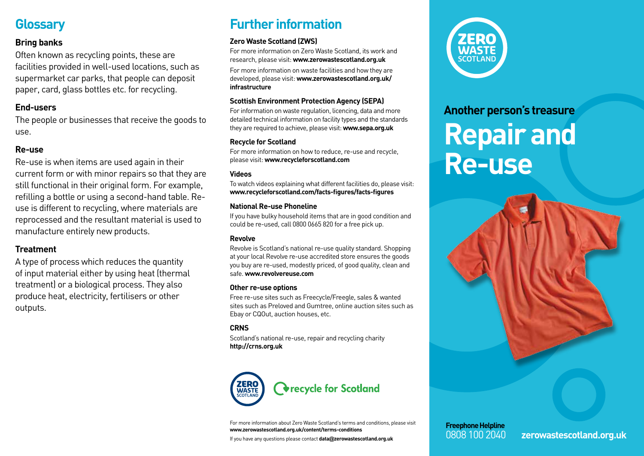# **Glossary**

## **Bring banks**

Often known as recycling points, these are facilities provided in well-used locations, such as supermarket car parks, that people can deposit paper, card, glass bottles etc. for recycling.

## **End-users**

The people or businesses that receive the goods to use.

## **Re-use**

Re-use is when items are used again in their current form or with minor repairs so that they are still functional in their original form. For example, refilling a bottle or using a second-hand table. Reuse is different to recycling, where materials are reprocessed and the resultant material is used to manufacture entirely new products.

## **Treatment**

A type of process which reduces the quantity of input material either by using heat (thermal treatment) or a biological process. They also produce heat, electricity, fertilisers or other outputs.

# **Further information**

#### **Zero Waste Scotland (ZWS)**

For more information on Zero Waste Scotland, its work and research, please visit: **www.zerowastescotland.org.uk**

For more information on waste facilities and how they are developed, please visit: **www.zerowastescotland.org.uk/ infrastructure**

#### **Scottish Environment Protection Agency (SEPA)**

For information on waste regulation, licencing, data and more detailed technical information on facility types and the standards they are required to achieve, please visit: **www.sepa.org.uk**

#### **Recycle for Scotland**

For more information on how to reduce, re-use and recycle, please visit: **www.recycleforscotland.com**

#### **Videos**

To watch videos explaining what different facilities do, please visit: **www.recycleforscotland.com/facts-figures/facts-figures**

#### **National Re-use Phoneline**

If you have bulky household items that are in good condition and could be re-used, call 0800 0665 820 for a free pick up.

#### **Revolve**

Revolve is Scotland's national re-use quality standard. Shopping at your local Revolve re-use accredited store ensures the goods you buy are re-used, modestly priced, of good quality, clean and safe. **www.revolvereuse.com**

#### **Other re-use options**

Free re-use sites such as Freecycle/Freegle, sales & wanted sites such as Preloved and Gumtree, online auction sites such as Ebay or CQOut, auction houses, etc.

## **CRNS**

Scotland's national re-use, repair and recycling charity **http://crns.org.uk**



For more information about Zero Waste Scotland's terms and conditions, please visit **www.zerowastescotland.org.uk/content/terms-conditions**

If you have any questions please contact **data@zerowastescotland.org.uk**



# **Another person's treasure Repair and Re-use**



**Freephone Helpline**

0808 100 2040 **zerowastescotland.org.uk**